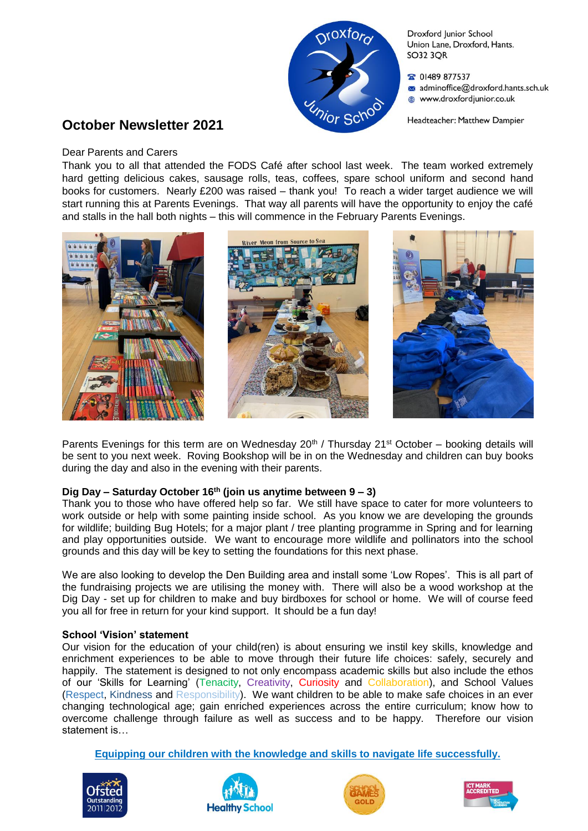

Droxford Junior School Union Lane, Droxford, Hants. **SO32 3OR** 

율 01489 877537

- adminoffice@droxford.hants.sch.uk
- www.droxfordjunior.co.uk

Headteacher: Matthew Dampier

# **October Newsletter 2021**

#### Dear Parents and Carers

Thank you to all that attended the FODS Café after school last week. The team worked extremely hard getting delicious cakes, sausage rolls, teas, coffees, spare school uniform and second hand books for customers. Nearly £200 was raised – thank you! To reach a wider target audience we will start running this at Parents Evenings. That way all parents will have the opportunity to enjoy the café and stalls in the hall both nights – this will commence in the February Parents Evenings.



Parents Evenings for this term are on Wednesday  $20<sup>th</sup>$  / Thursday  $21<sup>st</sup>$  October – booking details will be sent to you next week. Roving Bookshop will be in on the Wednesday and children can buy books during the day and also in the evening with their parents.

# **Dig Day – Saturday October 16th (join us anytime between 9 – 3)**

Thank you to those who have offered help so far. We still have space to cater for more volunteers to work outside or help with some painting inside school. As you know we are developing the grounds for wildlife; building Bug Hotels; for a major plant / tree planting programme in Spring and for learning and play opportunities outside. We want to encourage more wildlife and pollinators into the school grounds and this day will be key to setting the foundations for this next phase.

We are also looking to develop the Den Building area and install some 'Low Ropes'. This is all part of the fundraising projects we are utilising the money with. There will also be a wood workshop at the Dig Day - set up for children to make and buy birdboxes for school or home. We will of course feed you all for free in return for your kind support. It should be a fun day!

# **School 'Vision' statement**

Our vision for the education of your child(ren) is about ensuring we instil key skills, knowledge and enrichment experiences to be able to move through their future life choices: safely, securely and happily. The statement is designed to not only encompass academic skills but also include the ethos of our 'Skills for Learning' (Tenacity, Creativity, Curiosity and Collaboration), and School Values (Respect, Kindness and Responsibility). We want children to be able to make safe choices in an ever changing technological age; gain enriched experiences across the entire curriculum; know how to overcome challenge through failure as well as success and to be happy. Therefore our vision statement is…

**Equipping our children with the knowledge and skills to navigate life successfully.**